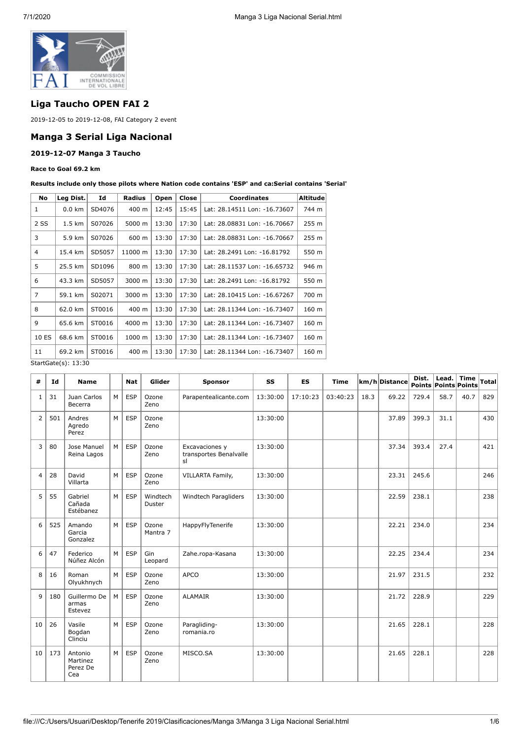

# **Liga Taucho OPEN FAI 2**

2019-12-05 to 2019-12-08, FAI Category 2 event

## **Manga 3 Serial Liga Nacional**

#### **2019-12-07 Manga 3 Taucho**

### **Race to Goal 69.2 km**

**Results include only those pilots where Nation code contains 'ESP' and ca:Serial contains 'Serial'**

| No             | Leg Dist.        | Id     | <b>Radius</b> | Open  | Close | <b>Coordinates</b>           | <b>Altitude</b> |
|----------------|------------------|--------|---------------|-------|-------|------------------------------|-----------------|
| 1              | $0.0 \text{ km}$ | SD4076 | 400 m         | 12:45 | 15:45 | Lat: 28.14511 Lon: -16.73607 | 744 m           |
| 2 SS           | $1.5 \text{ km}$ | S07026 | 5000 m        | 13:30 | 17:30 | Lat: 28.08831 Lon: -16.70667 | 255 m           |
| 3              | 5.9 km           | S07026 | 600 m         | 13:30 | 17:30 | Lat: 28.08831 Lon: -16.70667 | 255 m           |
| 4              | 15.4 km          | SD5057 | 11000 m       | 13:30 | 17:30 | Lat: 28.2491 Lon: -16.81792  | 550 m           |
| 5              | 25.5 km          | SD1096 | 800 m         | 13:30 | 17:30 | Lat: 28.11537 Lon: -16.65732 | 946 m           |
| 6              | 43.3 km          | SD5057 | 3000 m        | 13:30 | 17:30 | Lat: 28.2491 Lon: -16.81792  | 550 m           |
| $\overline{7}$ | 59.1 km          | S02071 | 3000 m        | 13:30 | 17:30 | Lat: 28.10415 Lon: -16.67267 | 700 m           |
| 8              | 62.0 km          | ST0016 | 400 m         | 13:30 | 17:30 | Lat: 28.11344 Lon: -16.73407 | 160 m           |
| 9              | 65.6 km          | ST0016 | 4000 m        | 13:30 | 17:30 | Lat: 28.11344 Lon: -16.73407 | 160 m           |
| 10 ES          | 68.6 km          | ST0016 | 1000 m        | 13:30 | 17:30 | Lat: 28.11344 Lon: -16.73407 | 160 m           |
| 11             | 69.2 km          | ST0016 | 400 m         | 13:30 | 17:30 | Lat: 28.11344 Lon: -16.73407 | 160 m           |

StartGate(s): 13:30

| #  | Id  | <b>Name</b>                            |   | <b>Nat</b> | Glider             | <b>Sponsor</b>                                 | SS       | <b>ES</b> | <b>Time</b> |      | km/h Distance | Dist. | Lead.<br>Points Points Points | <b>Time</b> | Total |
|----|-----|----------------------------------------|---|------------|--------------------|------------------------------------------------|----------|-----------|-------------|------|---------------|-------|-------------------------------|-------------|-------|
| 1  | 31  | Juan Carlos<br>Becerra                 | M | <b>ESP</b> | Ozone<br>Zeno      | Parapentealicante.com                          | 13:30:00 | 17:10:23  | 03:40:23    | 18.3 | 69.22         | 729.4 | 58.7                          | 40.7        | 829   |
| 2  | 501 | Andres<br>Agredo<br>Perez              | M | <b>ESP</b> | Ozone<br>Zeno      |                                                | 13:30:00 |           |             |      | 37.89         | 399.3 | 31.1                          |             | 430   |
| 3  | 80  | Jose Manuel<br>Reina Lagos             | M | ESP        | Ozone<br>Zeno      | Excavaciones y<br>transportes Benalvalle<br>sl | 13:30:00 |           |             |      | 37.34         | 393.4 | 27.4                          |             | 421   |
| 4  | 28  | David<br>Villarta                      | M | <b>ESP</b> | Ozone<br>Zeno      | VILLARTA Family,                               | 13:30:00 |           |             |      | 23.31         | 245.6 |                               |             | 246   |
| 5  | 55  | Gabriel<br>Cañada<br>Estébanez         | M | <b>ESP</b> | Windtech<br>Duster | Windtech Paragliders                           | 13:30:00 |           |             |      | 22.59         | 238.1 |                               |             | 238   |
| 6  | 525 | Amando<br>Garcia<br>Gonzalez           | M | <b>ESP</b> | Ozone<br>Mantra 7  | HappyFlyTenerife                               | 13:30:00 |           |             |      | 22.21         | 234.0 |                               |             | 234   |
| 6  | 47  | Federico<br>Núñez Alcón                | M | <b>ESP</b> | Gin<br>Leopard     | Zahe.ropa-Kasana                               | 13:30:00 |           |             |      | 22.25         | 234.4 |                               |             | 234   |
| 8  | 16  | Roman<br>Olyukhnych                    | M | <b>ESP</b> | Ozone<br>Zeno      | <b>APCO</b>                                    | 13:30:00 |           |             |      | 21.97         | 231.5 |                               |             | 232   |
| 9  | 180 | Guillermo De<br>armas<br>Estevez       | M | <b>ESP</b> | Ozone<br>Zeno      | <b>ALAMAIR</b>                                 | 13:30:00 |           |             |      | 21.72         | 228.9 |                               |             | 229   |
| 10 | 26  | Vasile<br>Bogdan<br>Clinciu            | M | <b>ESP</b> | Ozone<br>Zeno      | Paragliding-<br>romania.ro                     | 13:30:00 |           |             |      | 21.65         | 228.1 |                               |             | 228   |
| 10 | 173 | Antonio<br>Martinez<br>Perez De<br>Cea | M | <b>ESP</b> | Ozone<br>Zeno      | MISCO.SA                                       | 13:30:00 |           |             |      | 21.65         | 228.1 |                               |             | 228   |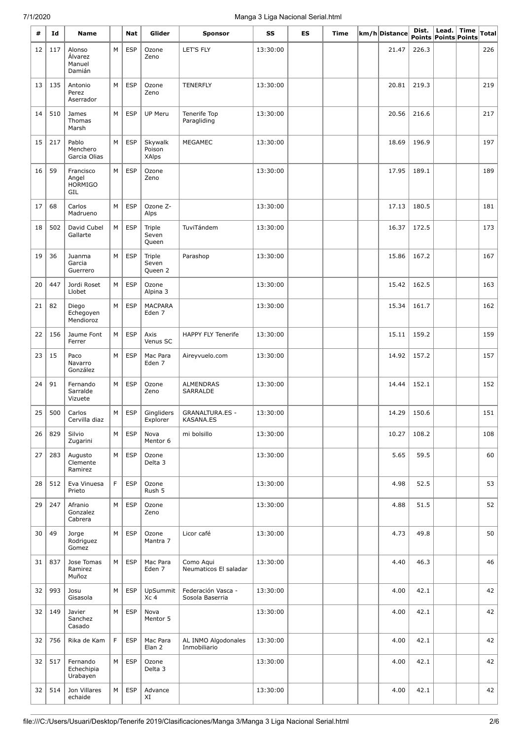# 7/1/2020 Manga 3 Liga Nacional Serial.html

| #  | Id  | Name                                        |    | Nat        | Glider                            | <b>Sponsor</b>                        | SS       | ES | Time | km/h Distance | Dist.<br>Points Points Points | Lead. | Time | <b>Total</b> |
|----|-----|---------------------------------------------|----|------------|-----------------------------------|---------------------------------------|----------|----|------|---------------|-------------------------------|-------|------|--------------|
| 12 | 117 | Alonso<br>Álvarez<br>Manuel<br>Damián       | M  | <b>ESP</b> | Ozone<br>Zeno                     | LET'S FLY                             | 13:30:00 |    |      | 21.47         | 226.3                         |       |      | 226          |
| 13 | 135 | Antonio<br>Perez<br>Aserrador               | M  | <b>ESP</b> | Ozone<br>Zeno                     | <b>TENERFLY</b>                       | 13:30:00 |    |      | 20.81         | 219.3                         |       |      | 219          |
| 14 | 510 | James<br>Thomas<br>Marsh                    | М  | <b>ESP</b> | UP Meru                           | Tenerife Top<br>Paragliding           | 13:30:00 |    |      | 20.56         | 216.6                         |       |      | 217          |
| 15 | 217 | Pablo<br>Menchero<br>Garcia Olias           | M  | <b>ESP</b> | Skywalk<br>Poison<br><b>XAlps</b> | <b>MEGAMEC</b>                        | 13:30:00 |    |      | 18.69         | 196.9                         |       |      | 197          |
| 16 | 59  | Francisco<br>Angel<br><b>HORMIGO</b><br>GIL | M  | <b>ESP</b> | Ozone<br>Zeno                     |                                       | 13:30:00 |    |      | 17.95         | 189.1                         |       |      | 189          |
| 17 | 68  | Carlos<br>Madrueno                          | M  | <b>ESP</b> | Ozone Z-<br>Alps                  |                                       | 13:30:00 |    |      | 17.13         | 180.5                         |       |      | 181          |
| 18 | 502 | David Cubel<br>Gallarte                     | M  | <b>ESP</b> | Triple<br>Seven<br>Queen          | TuviTándem                            | 13:30:00 |    |      | 16.37         | 172.5                         |       |      | 173          |
| 19 | 36  | Juanma<br>Garcia<br>Guerrero                | М  | <b>ESP</b> | Triple<br>Seven<br>Queen 2        | Parashop                              | 13:30:00 |    |      | 15.86         | 167.2                         |       |      | 167          |
| 20 | 447 | Jordi Roset<br>Llobet                       | M  | <b>ESP</b> | Ozone<br>Alpina 3                 |                                       | 13:30:00 |    |      | 15.42         | 162.5                         |       |      | 163          |
| 21 | 82  | Diego<br>Echegoyen<br>Mendioroz             | М  | <b>ESP</b> | <b>MACPARA</b><br>Eden 7          |                                       | 13:30:00 |    |      | 15.34         | 161.7                         |       |      | 162          |
| 22 | 156 | Jaume Font<br>Ferrer                        | М  | <b>ESP</b> | Axis<br>Venus SC                  | <b>HAPPY FLY Tenerife</b>             | 13:30:00 |    |      | 15.11         | 159.2                         |       |      | 159          |
| 23 | 15  | Paco<br>Navarro<br>González                 | M  | <b>ESP</b> | Mac Para<br>Eden <sub>7</sub>     | Aireyvuelo.com                        | 13:30:00 |    |      | 14.92         | 157.2                         |       |      | 157          |
| 24 | 91  | Fernando<br>Sarralde<br>Vizuete             | M  | <b>ESP</b> | Ozone<br>Zeno                     | <b>ALMENDRAS</b><br>SARRALDE          | 13:30:00 |    |      | 14.44         | 152.1                         |       |      | 152          |
| 25 | 500 | Carlos<br>Cervilla diaz                     | M  | <b>ESP</b> | Gingliders<br>Explorer            | <b>GRANALTURA.ES -</b><br>KASANA.ES   | 13:30:00 |    |      | 14.29         | 150.6                         |       |      | 151          |
| 26 | 829 | Silvio<br>Zugarini                          | M  | <b>ESP</b> | Nova<br>Mentor 6                  | mi bolsillo                           | 13:30:00 |    |      | 10.27         | 108.2                         |       |      | 108          |
| 27 | 283 | Augusto<br>Clemente<br>Ramirez              | M  | <b>ESP</b> | Ozone<br>Delta 3                  |                                       | 13:30:00 |    |      | 5.65          | 59.5                          |       |      | 60           |
| 28 | 512 | Eva Vinuesa<br>Prieto                       | F. | <b>ESP</b> | Ozone<br>Rush 5                   |                                       | 13:30:00 |    |      | 4.98          | 52.5                          |       |      | 53           |
| 29 | 247 | Afranio<br>Gonzalez<br>Cabrera              | M  | <b>ESP</b> | Ozone<br>Zeno                     |                                       | 13:30:00 |    |      | 4.88          | 51.5                          |       |      | 52           |
| 30 | 49  | Jorge<br>Rodriguez<br>Gomez                 | М  | <b>ESP</b> | Ozone<br>Mantra 7                 | Licor café                            | 13:30:00 |    |      | 4.73          | 49.8                          |       |      | 50           |
| 31 | 837 | Jose Tomas<br>Ramirez<br>Muñoz              | M  | <b>ESP</b> | Mac Para<br>Eden 7                | Como Aqui<br>Neumaticos El saladar    | 13:30:00 |    |      | 4.40          | 46.3                          |       |      | 46           |
| 32 | 993 | Josu<br>Gisasola                            | M  | <b>ESP</b> | UpSummit<br>Xc 4                  | Federación Vasca -<br>Sosola Baserria | 13:30:00 |    |      | 4.00          | 42.1                          |       |      | 42           |
| 32 | 149 | Javier<br>Sanchez<br>Casado                 | M  | <b>ESP</b> | Nova<br>Mentor 5                  |                                       | 13:30:00 |    |      | 4.00          | 42.1                          |       |      | 42           |
| 32 | 756 | Rika de Kam                                 | F  | <b>ESP</b> | Mac Para<br>Elan <sub>2</sub>     | AL INMO Algodonales<br>Inmobiliario   | 13:30:00 |    |      | 4.00          | 42.1                          |       |      | 42           |
| 32 | 517 | Fernando<br>Echechipia<br>Urabayen          | M  | <b>ESP</b> | Ozone<br>Delta 3                  |                                       | 13:30:00 |    |      | 4.00          | 42.1                          |       |      | 42           |
| 32 | 514 | Jon Villares<br>echaide                     | M  | <b>ESP</b> | Advance<br>XI                     |                                       | 13:30:00 |    |      | 4.00          | 42.1                          |       |      | 42           |

÷

÷

l,

L,

 $\overline{\phantom{a}}$ 

 $\overline{\phantom{a}}$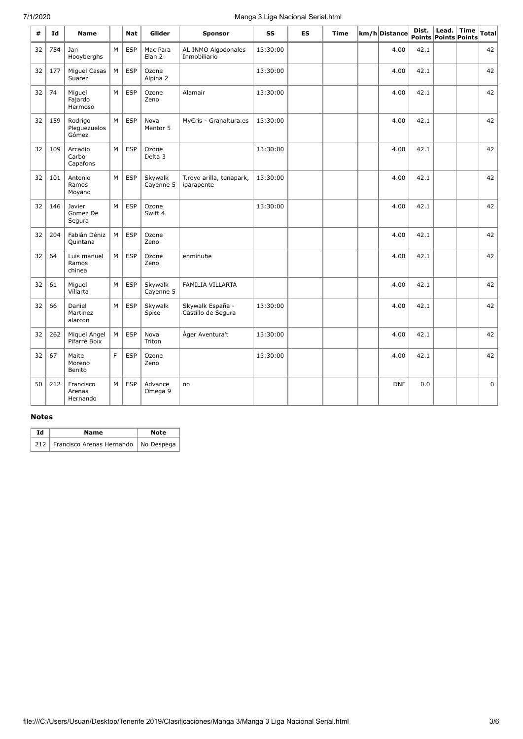# 7/1/2020 Manga 3 Liga Nacional Serial.html

| #  | Id  | <b>Name</b>                      |   | Nat        | Glider                        | <b>Sponsor</b>                         | SS       | <b>ES</b> | Time | km/h Distance | Dist.<br>Points Points Points | Lead. | <b>Time</b> | Total       |
|----|-----|----------------------------------|---|------------|-------------------------------|----------------------------------------|----------|-----------|------|---------------|-------------------------------|-------|-------------|-------------|
| 32 | 754 | Jan<br>Hooyberghs                | M | <b>ESP</b> | Mac Para<br>Elan <sub>2</sub> | AL INMO Algodonales<br>Inmobiliario    | 13:30:00 |           |      | 4.00          | 42.1                          |       |             | 42          |
| 32 | 177 | Miguel Casas<br>Suarez           | M | <b>ESP</b> | Ozone<br>Alpina 2             |                                        | 13:30:00 |           |      | 4.00          | 42.1                          |       |             | 42          |
| 32 | 74  | Miguel<br>Fajardo<br>Hermoso     | M | <b>ESP</b> | Ozone<br>Zeno                 | Alamair                                | 13:30:00 |           |      | 4.00          | 42.1                          |       |             | 42          |
| 32 | 159 | Rodrigo<br>Pleguezuelos<br>Gómez | M | <b>ESP</b> | Nova<br>Mentor 5              | MyCris - Granaltura.es                 | 13:30:00 |           |      | 4.00          | 42.1                          |       |             | 42          |
| 32 | 109 | Arcadio<br>Carbo<br>Capafons     | M | <b>ESP</b> | Ozone<br>Delta 3              |                                        | 13:30:00 |           |      | 4.00          | 42.1                          |       |             | 42          |
| 32 | 101 | Antonio<br>Ramos<br>Moyano       | M | <b>ESP</b> | Skywalk<br>Cayenne 5          | T.royo arilla, tenapark,<br>iparapente | 13:30:00 |           |      | 4.00          | 42.1                          |       |             | 42          |
| 32 | 146 | Javier<br>Gomez De<br>Segura     | M | <b>ESP</b> | Ozone<br>Swift 4              |                                        | 13:30:00 |           |      | 4.00          | 42.1                          |       |             | 42          |
| 32 | 204 | Fabián Déniz<br>Quintana         | M | <b>ESP</b> | Ozone<br>Zeno                 |                                        |          |           |      | 4.00          | 42.1                          |       |             | 42          |
| 32 | 64  | Luis manuel<br>Ramos<br>chinea   | M | <b>ESP</b> | Ozone<br>Zeno                 | enminube                               |          |           |      | 4.00          | 42.1                          |       |             | 42          |
| 32 | 61  | Miguel<br>Villarta               | M | <b>ESP</b> | Skywalk<br>Cayenne 5          | <b>FAMILIA VILLARTA</b>                |          |           |      | 4.00          | 42.1                          |       |             | 42          |
| 32 | 66  | Daniel<br>Martinez<br>alarcon    | M | <b>ESP</b> | Skywalk<br>Spice              | Skywalk España -<br>Castillo de Segura | 13:30:00 |           |      | 4.00          | 42.1                          |       |             | 42          |
| 32 | 262 | Miquel Angel<br>Pifarré Boix     | M | <b>ESP</b> | Nova<br>Triton                | Àger Aventura't                        | 13:30:00 |           |      | 4.00          | 42.1                          |       |             | 42          |
| 32 | 67  | Maite<br>Moreno<br>Benito        | F | <b>ESP</b> | Ozone<br>Zeno                 |                                        | 13:30:00 |           |      | 4.00          | 42.1                          |       |             | 42          |
| 50 | 212 | Francisco<br>Arenas<br>Hernando  | M | <b>ESP</b> | Advance<br>Omega 9            | no                                     |          |           |      | <b>DNF</b>    | 0.0                           |       |             | $\mathbf 0$ |

#### **Notes**

| Ιd | Name                                         | Note |
|----|----------------------------------------------|------|
|    | 212   Francisco Arenas Hernando   No Despega |      |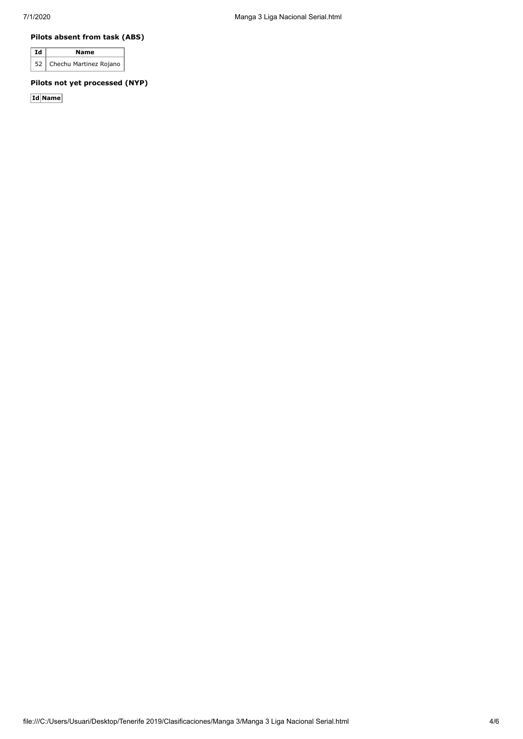### **Pilots absent from task (ABS)**

| ∣Id | Name                        |
|-----|-----------------------------|
|     | 52   Chechu Martinez Rojano |

### **Pilots not yet processed (NYP)**

**Id Name**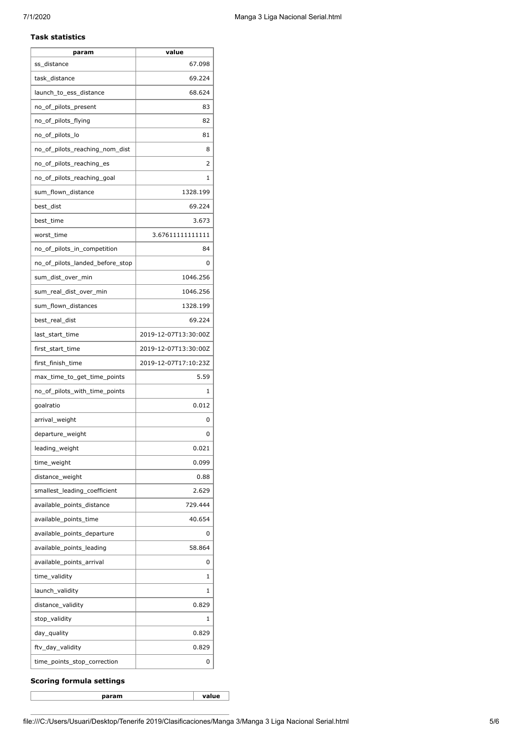#### **Task statistics**

| param                           | value                |
|---------------------------------|----------------------|
| ss_distance                     | 67.098               |
| task distance                   | 69.224               |
| launch_to_ess_distance          | 68.624               |
| no_of_pilots_present            | 83                   |
| no_of_pilots_flying             | 82                   |
| no_of_pilots_lo                 | 81                   |
| no_of_pilots_reaching_nom_dist  | 8                    |
| no_of_pilots_reaching_es        | 2                    |
| no_of_pilots_reaching_goal      | 1                    |
| sum_flown_distance              | 1328.199             |
| best_dist                       | 69.224               |
| best_time                       | 3.673                |
| worst time                      | 3.67611111111111     |
| no_of_pilots_in_competition     | 84                   |
| no_of_pilots_landed_before_stop | 0                    |
| sum dist over min               | 1046.256             |
| sum_real_dist_over_min          | 1046.256             |
| sum_flown_distances             | 1328.199             |
| best_real_dist                  | 69.224               |
| last_start_time                 | 2019-12-07T13:30:00Z |
| first_start_time                | 2019-12-07T13:30:00Z |
| first_finish_time               | 2019-12-07T17:10:23Z |
| max_time_to_get_time_points     | 5.59                 |
| no_of_pilots_with_time_points   | 1                    |
| goalratio                       | 0.012                |
| arrival_weight                  | 0                    |
| departure_weight                | 0                    |
| leading_weight                  | 0.021                |
| time_weight                     | 0.099                |
| distance_weight                 | 0.88                 |
| smallest_leading_coefficient    | 2.629                |
| available_points_distance       | 729.444              |
| available_points_time           | 40.654               |
| available_points_departure      | 0                    |
| available_points_leading        | 58.864               |
| available_points_arrival        | 0                    |
| time_validity                   | 1                    |
| launch_validity                 | 1                    |
| distance_validity               | 0.829                |
| stop_validity                   | 1                    |
| day_quality                     | 0.829                |
| ftv_day_validity                | 0.829                |
| time_points_stop_correction     | 0                    |

### **Scoring formula settings**

**param value**